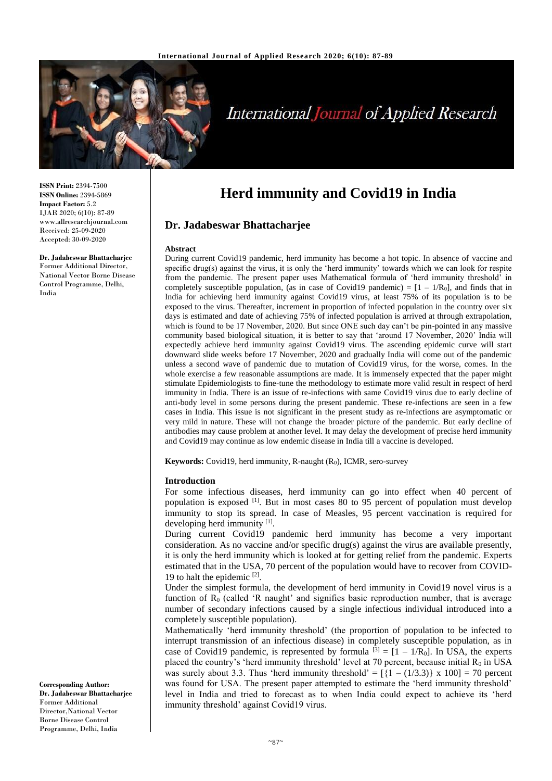

# **International Journal of Applied Research**

**ISSN Print:** 2394-7500 **ISSN Online:** 2394-5869 **Impact Factor:** 5.2 IJAR 2020; 6(10): 87-89 www.allresearchjournal.com Received: 25-09-2020 Accepted: 30-09-2020

**Dr. Jadabeswar Bhattacharjee** Former Additional Director, National Vector Borne Disease Control Programme, Delhi, India

**Herd immunity and Covid19 in India**

# **Dr. Jadabeswar Bhattacharjee**

#### **Abstract**

During current Covid19 pandemic, herd immunity has become a hot topic. In absence of vaccine and specific drug(s) against the virus, it is only the 'herd immunity' towards which we can look for respite from the pandemic. The present paper uses Mathematical formula of 'herd immunity threshold' in completely susceptible population, (as in case of Covid19 pandemic) =  $[1 - 1/R_0]$ , and finds that in India for achieving herd immunity against Covid19 virus, at least 75% of its population is to be exposed to the virus. Thereafter, increment in proportion of infected population in the country over six days is estimated and date of achieving 75% of infected population is arrived at through extrapolation, which is found to be 17 November, 2020. But since ONE such day can't be pin-pointed in any massive community based biological situation, it is better to say that 'around 17 November, 2020' India will expectedly achieve herd immunity against Covid19 virus. The ascending epidemic curve will start downward slide weeks before 17 November, 2020 and gradually India will come out of the pandemic unless a second wave of pandemic due to mutation of Covid19 virus, for the worse, comes. In the whole exercise a few reasonable assumptions are made. It is immensely expected that the paper might stimulate Epidemiologists to fine-tune the methodology to estimate more valid result in respect of herd immunity in India. There is an issue of re-infections with same Covid19 virus due to early decline of anti-body level in some persons during the present pandemic. These re-infections are seen in a few cases in India. This issue is not significant in the present study as re-infections are asymptomatic or very mild in nature. These will not change the broader picture of the pandemic. But early decline of antibodies may cause problem at another level. It may delay the development of precise herd immunity and Covid19 may continue as low endemic disease in India till a vaccine is developed.

**Keywords:** Covid19, herd immunity, R-naught (R<sub>0</sub>), ICMR, sero-survey

#### **Introduction**

For some infectious diseases, herd immunity can go into effect when 40 percent of population is exposed [1]. But in most cases 80 to 95 percent of population must develop immunity to stop its spread. In case of Measles, 95 percent vaccination is required for developing herd immunity [1].

During current Covid19 pandemic herd immunity has become a very important consideration. As no vaccine and/or specific drug(s) against the virus are available presently, it is only the herd immunity which is looked at for getting relief from the pandemic. Experts estimated that in the USA, 70 percent of the population would have to recover from COVID-19 to halt the epidemic [2].

Under the simplest formula, the development of herd immunity in Covid19 novel virus is a function of  $R_0$  (called 'R naught' and signifies basic reproduction number, that is average number of secondary infections caused by a single infectious individual introduced into a completely susceptible population).

Mathematically 'herd immunity threshold' (the proportion of population to be infected to interrupt transmission of an infectious disease) in completely susceptible population, as in case of Covid19 pandemic, is represented by formula  $^{[3]} = [1 - 1/R_0]$ . In USA, the experts placed the country's 'herd immunity threshold' level at 70 percent, because initial  $R_0$  in USA was surely about 3.3. Thus 'herd immunity threshold' =  $[{1 - (1/3.3)} \times 100] = 70$  percent was found for USA. The present paper attempted to estimate the 'herd immunity threshold' level in India and tried to forecast as to when India could expect to achieve its 'herd immunity threshold' against Covid19 virus.

**Corresponding Author: Dr. Jadabeswar Bhattacharjee** Former Additional Director,National Vector Borne Disease Control Programme, Delhi, India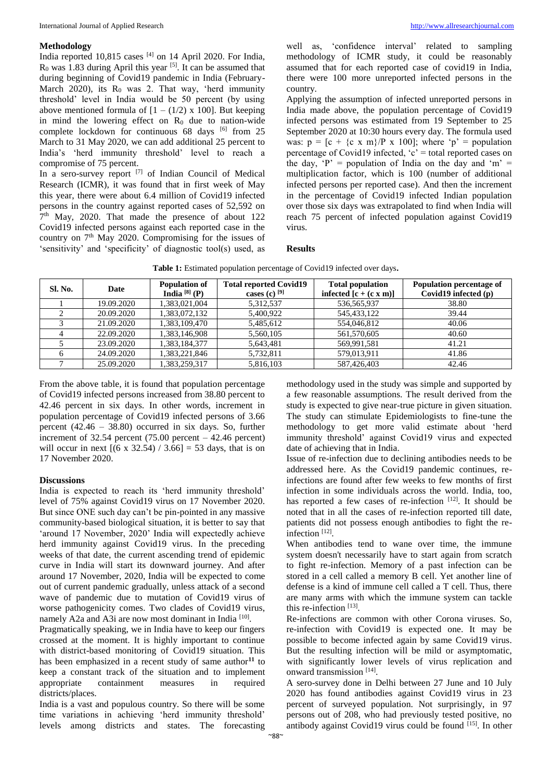#### **Methodology**

India reported  $10,815$  cases  $^{[4]}$  on 14 April 2020. For India,  $R_0$  was 1.83 during April this year  $[5]$ . It can be assumed that during beginning of Covid19 pandemic in India (February-March 2020), its  $R_0$  was 2. That way, 'herd immunity threshold' level in India would be 50 percent (by using above mentioned formula of  $[1 - (1/2) \times 100]$ . But keeping in mind the lowering effect on  $R_0$  due to nation-wide complete lockdown for continuous 68 days <sup>[6]</sup> from 25 March to 31 May 2020, we can add additional 25 percent to India's 'herd immunity threshold' level to reach a compromise of 75 percent.

In a sero-survey report <sup>[7]</sup> of Indian Council of Medical Research (ICMR), it was found that in first week of May this year, there were about 6.4 million of Covid19 infected persons in the country against reported cases of 52,592 on 7 th May, 2020. That made the presence of about 122 Covid19 infected persons against each reported case in the country on 7th May 2020. Compromising for the issues of 'sensitivity' and 'specificity' of diagnostic tool(s) used, as

well as, 'confidence interval' related to sampling methodology of ICMR study, it could be reasonably assumed that for each reported case of covid19 in India, there were 100 more unreported infected persons in the country.

Applying the assumption of infected unreported persons in India made above, the population percentage of Covid19 infected persons was estimated from 19 September to 25 September 2020 at 10:30 hours every day. The formula used was:  $p = [c + {c \times m} / P \times 100]$ ; where 'p' = population percentage of Covid19 infected,  $c'$  = total reported cases on the day,  $P' =$  population of India on the day and  $m' =$ multiplication factor, which is 100 (number of additional infected persons per reported case). And then the increment in the percentage of Covid19 infected Indian population over those six days was extrapolated to find when India will reach 75 percent of infected population against Covid19 virus.

#### **Results**

|  |  |  |  |  | Table 1: Estimated population percentage of Covid19 infected over days. |
|--|--|--|--|--|-------------------------------------------------------------------------|
|--|--|--|--|--|-------------------------------------------------------------------------|

| Sl. No. | Date       | <b>Population of</b><br>India $[8]$ (P) | <b>Total reported Covid19</b><br>cases (c) $^{[9]}$ | <b>Total population</b><br>infected $[c + (c \times m)]$ | Population percentage of<br>Covid19 infected $(p)$ |
|---------|------------|-----------------------------------------|-----------------------------------------------------|----------------------------------------------------------|----------------------------------------------------|
|         | 19.09.2020 | 1,383,021,004                           | 5,312,537                                           | 536,565,937                                              | 38.80                                              |
|         | 20.09.2020 | 1,383,072,132                           | 5,400,922                                           | 545, 433, 122                                            | 39.44                                              |
|         | 21.09.2020 | 1,383,109,470                           | 5,485,612                                           | 554,046,812                                              | 40.06                                              |
|         | 22.09.2020 | 1,383,146,908                           | 5,560,105                                           | 561,570,605                                              | 40.60                                              |
|         | 23.09.2020 | 1.383.184.377                           | 5,643,481                                           | 569,991,581                                              | 41.21                                              |
|         | 24.09.2020 | 1,383,221,846                           | 5,732,811                                           | 579,013,911                                              | 41.86                                              |
|         | 25.09.2020 | 1.383.259.317                           | 5.816.103                                           | 587,426,403                                              | 42.46                                              |

From the above table, it is found that population percentage of Covid19 infected persons increased from 38.80 percent to 42.46 percent in six days. In other words, increment in population percentage of Covid19 infected persons of 3.66 percent (42.46 – 38.80) occurred in six days. So, further increment of  $32.54$  percent  $(75.00$  percent –  $42.46$  percent) will occur in next  $[(6 \times 32.54) / 3.66] = 53$  days, that is on 17 November 2020.

## **Discussions**

India is expected to reach its 'herd immunity threshold' level of 75% against Covid19 virus on 17 November 2020. But since ONE such day can't be pin-pointed in any massive community-based biological situation, it is better to say that 'around 17 November, 2020' India will expectedly achieve herd immunity against Covid19 virus. In the preceding weeks of that date, the current ascending trend of epidemic curve in India will start its downward journey. And after around 17 November, 2020, India will be expected to come out of current pandemic gradually, unless attack of a second wave of pandemic due to mutation of Covid19 virus of worse pathogenicity comes. Two clades of Covid19 virus, namely A2a and A3i are now most dominant in India<sup>[10]</sup>.

Pragmatically speaking, we in India have to keep our fingers crossed at the moment. It is highly important to continue with district-based monitoring of Covid19 situation. This has been emphasized in a recent study of same author**<sup>11</sup>** to keep a constant track of the situation and to implement appropriate containment measures in required districts/places.

India is a vast and populous country. So there will be some time variations in achieving 'herd immunity threshold' levels among districts and states. The forecasting

methodology used in the study was simple and supported by a few reasonable assumptions. The result derived from the study is expected to give near-true picture in given situation. The study can stimulate Epidemiologists to fine-tune the methodology to get more valid estimate about 'herd immunity threshold' against Covid19 virus and expected date of achieving that in India.

Issue of re-infection due to declining antibodies needs to be addressed here. As the Covid19 pandemic continues, reinfections are found after few weeks to few months of first infection in some individuals across the world. India, too, has reported a few cases of re-infection  $[12]$ . It should be noted that in all the cases of re-infection reported till date, patients did not possess enough antibodies to fight the reinfection<sup>[12]</sup>.

When antibodies tend to wane over time, the immune system doesn't necessarily have to start again from scratch to fight re-infection. Memory of a past infection can be stored in a cell called a memory B cell. Yet another line of defense is a kind of immune cell called a T cell. Thus, there are many arms with which the immune system can tackle this re-infection<sup>[13]</sup>.

Re-infections are common with other Corona viruses. So, re-infection with Covid19 is expected one. It may be possible to become infected again by same Covid19 virus. But the resulting infection will be mild or asymptomatic, with significantly lower levels of virus replication and onward transmission [14] .

A sero-survey done in Delhi between 27 June and 10 July 2020 has found antibodies against Covid19 virus in 23 percent of surveyed population. Not surprisingly, in 97 persons out of 208, who had previously tested positive, no antibody against Covid19 virus could be found [15] . In other